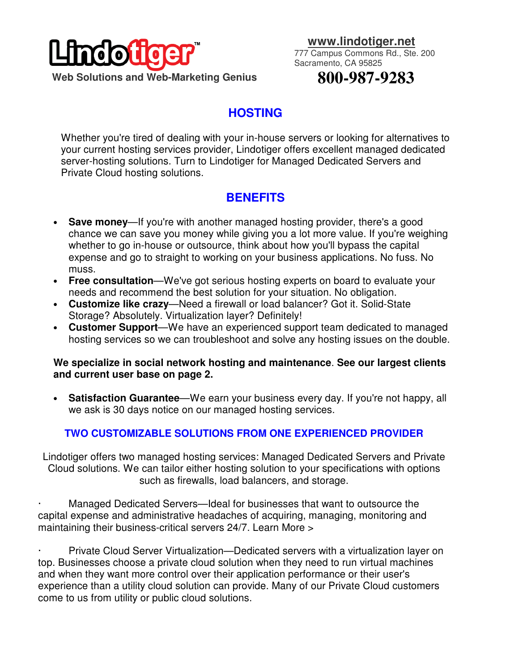

 **www.lindotiger.net**

777 Campus Commons Rd., Ste. 200 Sacramento, CA 95825

# **800-987-9283**

## **HOSTING**

Whether you're tired of dealing with your in-house servers or looking for alternatives to your current hosting services provider, Lindotiger offers excellent managed dedicated server-hosting solutions. Turn to Lindotiger for Managed Dedicated Servers and Private Cloud hosting solutions.

## **BENEFITS**

- **Save money—If** you're with another managed hosting provider, there's a good chance we can save you money while giving you a lot more value. If you're weighing whether to go in-house or outsource, think about how you'll bypass the capital expense and go to straight to working on your business applications. No fuss. No muss.
- **Free consultation**—We've got serious hosting experts on board to evaluate your needs and recommend the best solution for your situation. No obligation.
- **Customize like crazy**—Need a firewall or load balancer? Got it. Solid-State Storage? Absolutely. Virtualization layer? Definitely!
- **Customer Support**—We have an experienced support team dedicated to managed hosting services so we can troubleshoot and solve any hosting issues on the double.

#### **We specialize in social network hosting and maintenance**. **See our largest clients and current user base on page 2.**

• **Satisfaction Guarantee**—We earn your business every day. If you're not happy, all we ask is 30 days notice on our managed hosting services.

### **TWO CUSTOMIZABLE SOLUTIONS FROM ONE EXPERIENCED PROVIDER**

Lindotiger offers two managed hosting services: Managed Dedicated Servers and Private Cloud solutions. We can tailor either hosting solution to your specifications with options such as firewalls, load balancers, and storage.

Managed Dedicated Servers—Ideal for businesses that want to outsource the capital expense and administrative headaches of acquiring, managing, monitoring and maintaining their business-critical servers 24/7. Learn More >

Private Cloud Server Virtualization—Dedicated servers with a virtualization layer on top. Businesses choose a private cloud solution when they need to run virtual machines and when they want more control over their application performance or their user's experience than a utility cloud solution can provide. Many of our Private Cloud customers come to us from utility or public cloud solutions.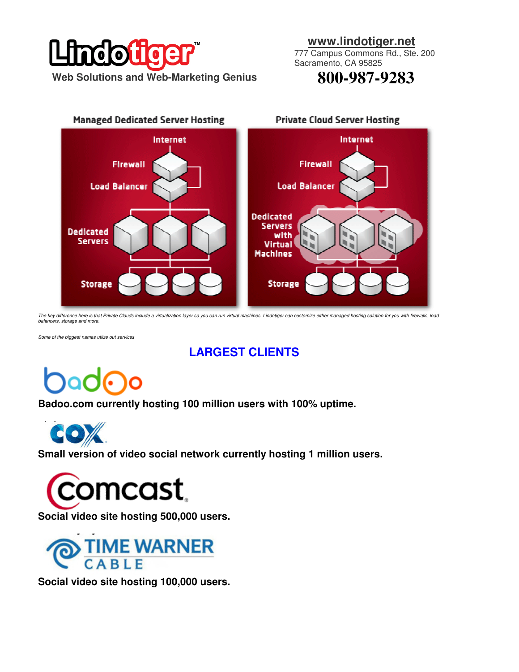# $\overline{\bullet}$ ∩  **Web Solutions and Web-Marketing Genius**

#### **www.lindotiger.net**

777 Campus Commons Rd., Ste. 200 Sacramento, CA 95825

**800-987-9283** 



The key difference here is that Private Clouds include a virtualization layer so you can run virtual machines. Lindotiger can customize either managed hosting solution for you with firewalls, load<br>balancers, storage and mo

Some of the biggest names utlize out services

# **LARGEST CLIENTS**

**Badoo.com currently hosting 100 million users with 100% uptime.** 



**Small version of video social network currently hosting 1 million users.** 



**Social video site hosting 500,000 users.**



**Social video site hosting 100,000 users.**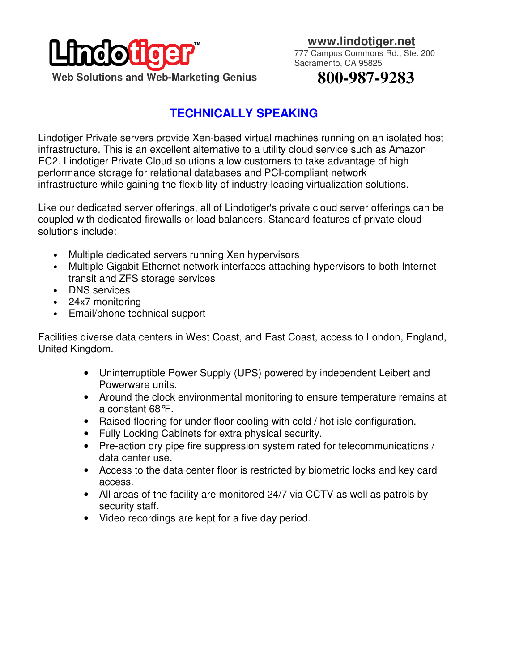

 **www.lindotiger.net**

777 Campus Commons Rd., Ste. 200 Sacramento, CA 95825

# **800-987-9283**

## **TECHNICALLY SPEAKING**

Lindotiger Private servers provide Xen-based virtual machines running on an isolated host infrastructure. This is an excellent alternative to a utility cloud service such as Amazon EC2. Lindotiger Private Cloud solutions allow customers to take advantage of high performance storage for relational databases and PCI-compliant network infrastructure while gaining the flexibility of industry-leading virtualization solutions.

Like our dedicated server offerings, all of Lindotiger's private cloud server offerings can be coupled with dedicated firewalls or load balancers. Standard features of private cloud solutions include:

- Multiple dedicated servers running Xen hypervisors
- Multiple Gigabit Ethernet network interfaces attaching hypervisors to both Internet transit and ZFS storage services
- DNS services
- 24x7 monitoring
- Email/phone technical support

Facilities diverse data centers in West Coast, and East Coast, access to London, England, United Kingdom.

- Uninterruptible Power Supply (UPS) powered by independent Leibert and Powerware units.
- Around the clock environmental monitoring to ensure temperature remains at a constant 68°F.
- Raised flooring for under floor cooling with cold / hot isle configuration.
- Fully Locking Cabinets for extra physical security.
- Pre-action dry pipe fire suppression system rated for telecommunications / data center use.
- Access to the data center floor is restricted by biometric locks and key card access.
- All areas of the facility are monitored 24/7 via CCTV as well as patrols by security staff.
- Video recordings are kept for a five day period.